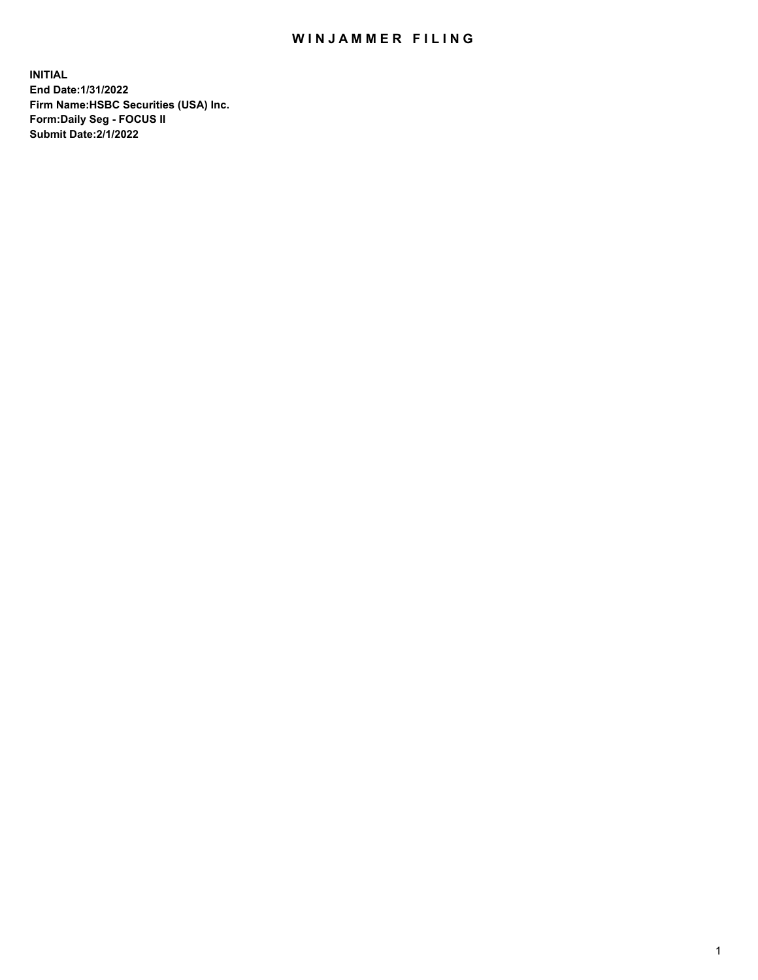## WIN JAMMER FILING

**INITIAL End Date:1/31/2022 Firm Name:HSBC Securities (USA) Inc. Form:Daily Seg - FOCUS II Submit Date:2/1/2022**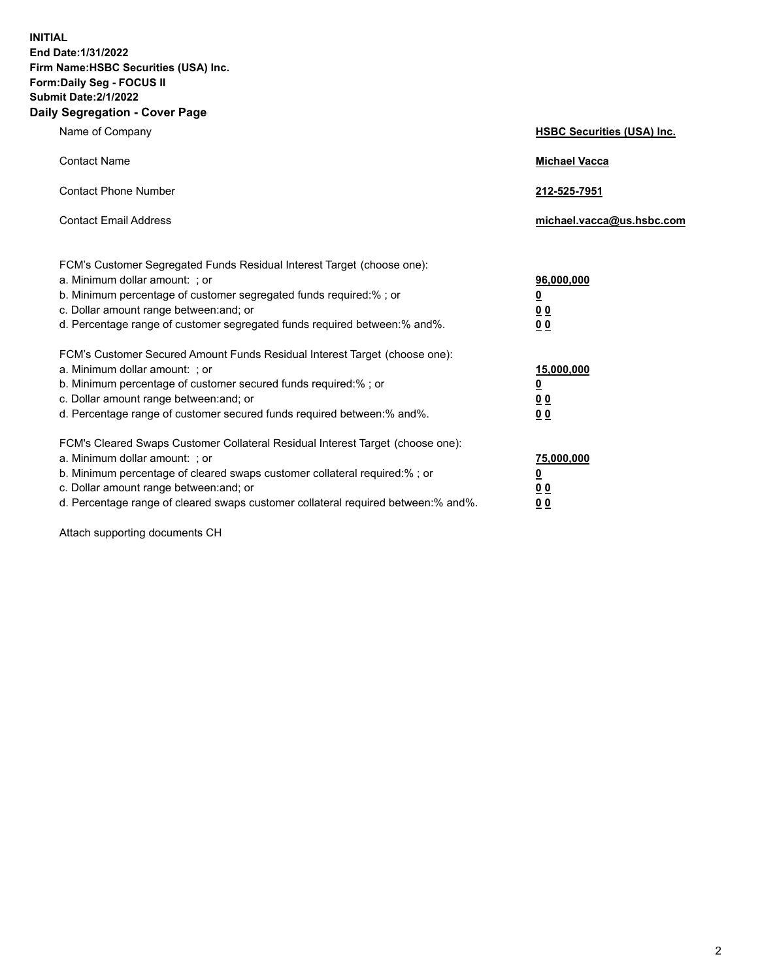**INITIAL End Date:1/31/2022 Firm Name:HSBC Securities (USA) Inc. Form:Daily Seg - FOCUS II Submit Date:2/1/2022 Daily Segregation - Cover Page**

| Name of Company                                                                                                                                                                                                                                                                                                                | <b>HSBC Securities (USA) Inc.</b>                                           |
|--------------------------------------------------------------------------------------------------------------------------------------------------------------------------------------------------------------------------------------------------------------------------------------------------------------------------------|-----------------------------------------------------------------------------|
| <b>Contact Name</b>                                                                                                                                                                                                                                                                                                            | <b>Michael Vacca</b>                                                        |
| <b>Contact Phone Number</b>                                                                                                                                                                                                                                                                                                    | 212-525-7951                                                                |
| <b>Contact Email Address</b>                                                                                                                                                                                                                                                                                                   | michael.vacca@us.hsbc.com                                                   |
| FCM's Customer Segregated Funds Residual Interest Target (choose one):<br>a. Minimum dollar amount: ; or<br>b. Minimum percentage of customer segregated funds required:% ; or<br>c. Dollar amount range between: and; or<br>d. Percentage range of customer segregated funds required between:% and%.                         | 96,000,000<br><u>0</u><br>$\underline{0}$ $\underline{0}$<br>0 <sub>0</sub> |
| FCM's Customer Secured Amount Funds Residual Interest Target (choose one):<br>a. Minimum dollar amount: ; or<br>b. Minimum percentage of customer secured funds required:% ; or<br>c. Dollar amount range between: and; or<br>d. Percentage range of customer secured funds required between:% and%.                           | 15,000,000<br><u>0</u><br>0 <sub>0</sub><br>0 <sub>0</sub>                  |
| FCM's Cleared Swaps Customer Collateral Residual Interest Target (choose one):<br>a. Minimum dollar amount: ; or<br>b. Minimum percentage of cleared swaps customer collateral required:% ; or<br>c. Dollar amount range between: and; or<br>d. Percentage range of cleared swaps customer collateral required between:% and%. | 75,000,000<br><u>0</u><br>0 <sub>0</sub><br>00                              |

Attach supporting documents CH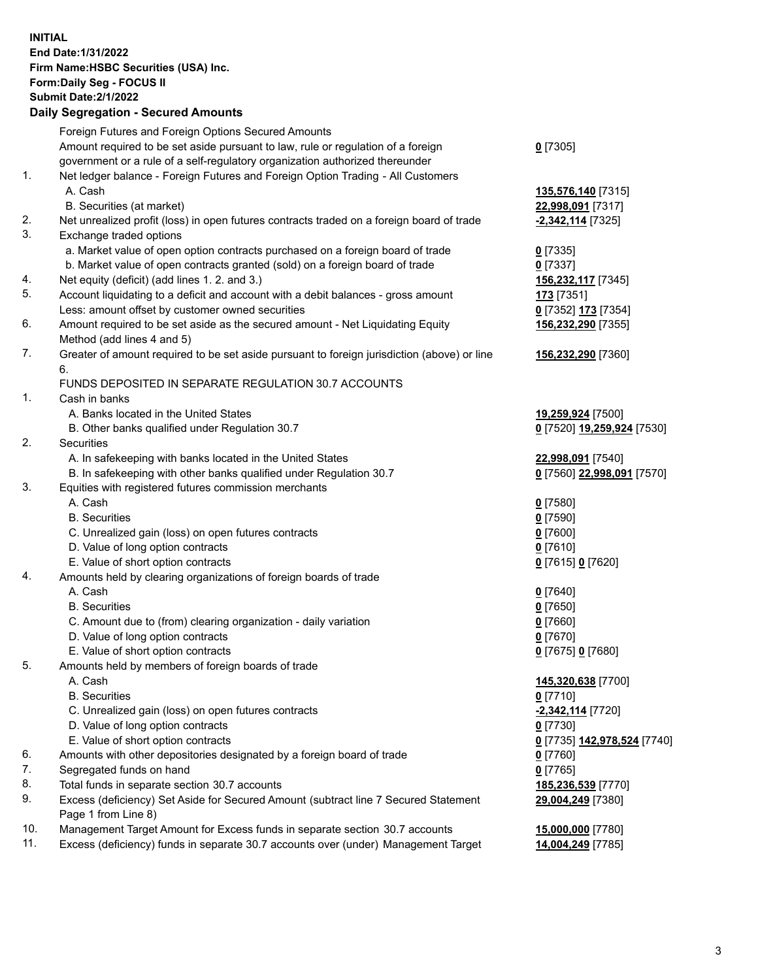**INITIAL End Date:1/31/2022 Firm Name:HSBC Securities (USA) Inc. Form:Daily Seg - FOCUS II Submit Date:2/1/2022 Daily Segregation - Secured Amounts** Foreign Futures and Foreign Options Secured Amounts Amount required to be set aside pursuant to law, rule or regulation of a foreign government or a rule of a self-regulatory organization authorized thereunder **0** [7305] 1. Net ledger balance - Foreign Futures and Foreign Option Trading - All Customers A. Cash **135,576,140** [7315] B. Securities (at market) **22,998,091** [7317] 2. Net unrealized profit (loss) in open futures contracts traded on a foreign board of trade **-2,342,114** [7325] 3. Exchange traded options a. Market value of open option contracts purchased on a foreign board of trade **0** [7335] b. Market value of open contracts granted (sold) on a foreign board of trade **0** [7337] 4. Net equity (deficit) (add lines 1. 2. and 3.) **156,232,117** [7345] 5. Account liquidating to a deficit and account with a debit balances - gross amount **173** [7351] Less: amount offset by customer owned securities **0** [7352] **173** [7354] 6. Amount required to be set aside as the secured amount - Net Liquidating Equity Method (add lines 4 and 5) **156,232,290** [7355] 7. Greater of amount required to be set aside pursuant to foreign jurisdiction (above) or line 6. **156,232,290** [7360] FUNDS DEPOSITED IN SEPARATE REGULATION 30.7 ACCOUNTS 1. Cash in banks A. Banks located in the United States **19,259,924** [7500] B. Other banks qualified under Regulation 30.7 **0** [7520] **19,259,924** [7530] 2. Securities A. In safekeeping with banks located in the United States **22,998,091** [7540] B. In safekeeping with other banks qualified under Regulation 30.7 **0** [7560] **22,998,091** [7570] 3. Equities with registered futures commission merchants A. Cash **0** [7580] B. Securities **0** [7590] C. Unrealized gain (loss) on open futures contracts **0** [7600] D. Value of long option contracts **0** [7610] E. Value of short option contracts **0** [7615] **0** [7620] 4. Amounts held by clearing organizations of foreign boards of trade A. Cash **0** [7640] B. Securities **0** [7650] C. Amount due to (from) clearing organization - daily variation **0** [7660] D. Value of long option contracts **0** [7670] E. Value of short option contracts **0** [7675] **0** [7680] 5. Amounts held by members of foreign boards of trade A. Cash **145,320,638** [7700] B. Securities **0** [7710] C. Unrealized gain (loss) on open futures contracts **-2,342,114** [7720] D. Value of long option contracts **0** [7730] E. Value of short option contracts **0** [7735] **142,978,524** [7740] 6. Amounts with other depositories designated by a foreign board of trade **0** [7760] 7. Segregated funds on hand **0** [7765] 8. Total funds in separate section 30.7 accounts **185,236,539** [7770] 9. Excess (deficiency) Set Aside for Secured Amount (subtract line 7 Secured Statement Page 1 from Line 8) **29,004,249** [7380] 10. Management Target Amount for Excess funds in separate section 30.7 accounts **15,000,000** [7780] 11. Excess (deficiency) funds in separate 30.7 accounts over (under) Management Target **14,004,249** [7785]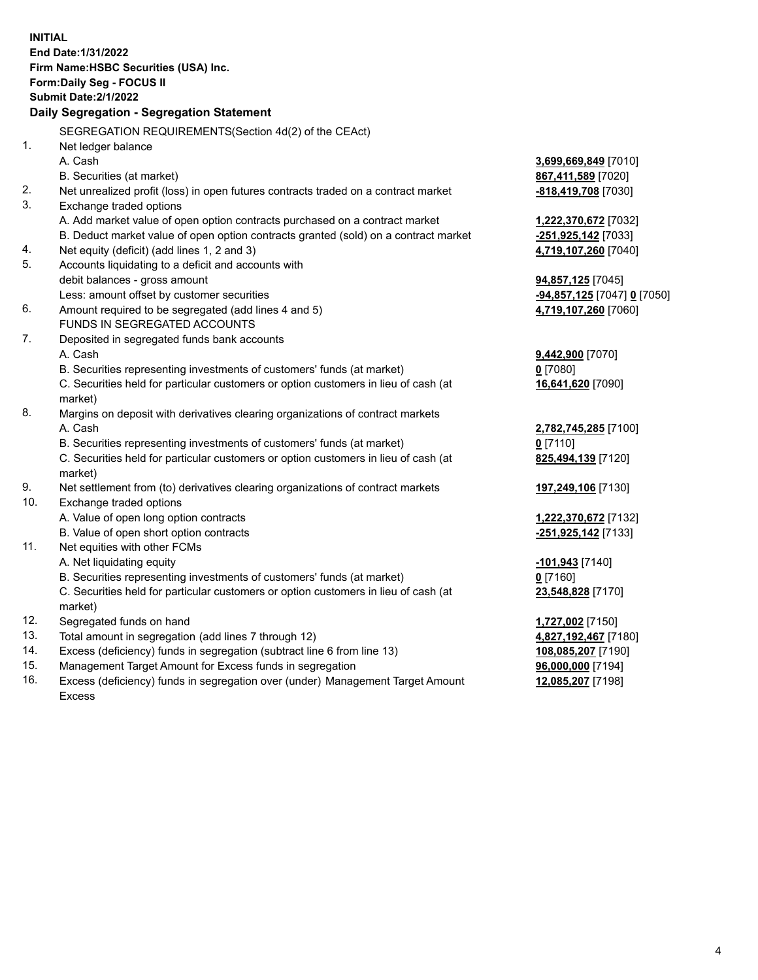|     | <b>INITIAL</b>                                                                                 |                             |
|-----|------------------------------------------------------------------------------------------------|-----------------------------|
|     | End Date: 1/31/2022                                                                            |                             |
|     | Firm Name: HSBC Securities (USA) Inc.                                                          |                             |
|     | <b>Form:Daily Seg - FOCUS II</b>                                                               |                             |
|     | <b>Submit Date: 2/1/2022</b>                                                                   |                             |
|     | Daily Segregation - Segregation Statement                                                      |                             |
|     | SEGREGATION REQUIREMENTS (Section 4d(2) of the CEAct)                                          |                             |
| 1.  | Net ledger balance                                                                             |                             |
|     | A. Cash                                                                                        | <u>3,699,669,849</u> [7010] |
|     | B. Securities (at market)                                                                      | 867,411,589 [7020]          |
| 2.  | Net unrealized profit (loss) in open futures contracts traded on a contract market             | -818,419,708 [7030]         |
| 3.  | Exchange traded options                                                                        |                             |
|     | A. Add market value of open option contracts purchased on a contract market                    | 1,222,370,672 [7032]        |
|     | B. Deduct market value of open option contracts granted (sold) on a contract market            | -251,925,142 [7033]         |
| 4.  | Net equity (deficit) (add lines 1, 2 and 3)                                                    | 4,719,107,260 [7040]        |
| 5.  | Accounts liquidating to a deficit and accounts with                                            |                             |
|     | debit balances - gross amount                                                                  | 94,857,125 [7045]           |
|     | Less: amount offset by customer securities                                                     | -94,857,125 [7047] 0 [7050] |
| 6.  | Amount required to be segregated (add lines 4 and 5)                                           | 4,719,107,260 [7060]        |
|     | <b>FUNDS IN SEGREGATED ACCOUNTS</b>                                                            |                             |
| 7.  | Deposited in segregated funds bank accounts                                                    |                             |
|     | A. Cash                                                                                        | 9,442,900 [7070]            |
|     | B. Securities representing investments of customers' funds (at market)                         | $0$ [7080]                  |
|     | C. Securities held for particular customers or option customers in lieu of cash (at<br>market) | 16,641,620 [7090]           |
| 8.  | Margins on deposit with derivatives clearing organizations of contract markets                 |                             |
|     | A. Cash                                                                                        | 2,782,745,285 [7100]        |
|     | B. Securities representing investments of customers' funds (at market)                         | $0$ [7110]                  |
|     | C. Securities held for particular customers or option customers in lieu of cash (at            | 825,494,139 [7120]          |
|     | market)                                                                                        |                             |
| 9.  | Net settlement from (to) derivatives clearing organizations of contract markets                | 197,249,106 [7130]          |
| 10. | Exchange traded options                                                                        |                             |
|     | A. Value of open long option contracts                                                         | 1,222,370,672 [7132]        |
|     | B. Value of open short option contracts                                                        | -251,925,142 [7133]         |
| 11. | Net equities with other FCMs                                                                   |                             |
|     | A. Net liquidating equity                                                                      | <u>-101,943</u> [7140]      |
|     | B. Securities representing investments of customers' funds (at market)                         | $0$ [7160]                  |
|     | C. Securities held for particular customers or option customers in lieu of cash (at            | 23,548,828 [7170]           |
|     | market)                                                                                        |                             |
| 12. | Segregated funds on hand                                                                       | 1,727,002 [7150]            |
| 13. | Total amount in segregation (add lines 7 through 12)                                           | 4,827,192,467 [7180]        |
| 14. | Excess (deficiency) funds in segregation (subtract line 6 from line 13)                        | 108,085,207 [7190]          |
| 15. | Management Target Amount for Excess funds in segregation                                       | 96,000,000 [7194]           |

16. Excess (deficiency) funds in segregation over (under) Management Target Amount Excess

**12,085,207** [7198]